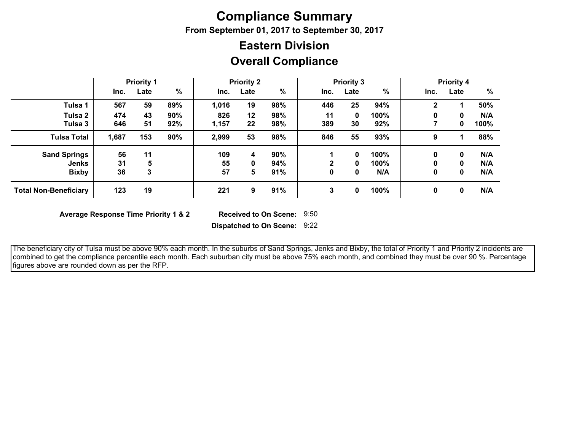## **Compliance Summary**

**From September 01, 2017 to September 30, 2017**

## **Overall Compliance Eastern Division**

|                              |       | <b>Priority 1</b> |     |       | <b>Priority 2</b> |     |      | <b>Priority 3</b> |      |      | <b>Priority 4</b> |      |
|------------------------------|-------|-------------------|-----|-------|-------------------|-----|------|-------------------|------|------|-------------------|------|
|                              | Inc.  | Late              | %   | Inc.  | Late              | %   | Inc. | Late              | %    | Inc. | Late              | %    |
| Tulsa 1                      | 567   | 59                | 89% | 1,016 | 19                | 98% | 446  | 25                | 94%  | 2    |                   | 50%  |
| Tulsa 2                      | 474   | 43                | 90% | 826   | 12                | 98% | 11   | 0                 | 100% | 0    | 0                 | N/A  |
| Tulsa 3                      | 646   | 51                | 92% | 1,157 | 22                | 98% | 389  | 30                | 92%  |      | 0                 | 100% |
| <b>Tulsa Total</b>           | 1,687 | 153               | 90% | 2,999 | 53                | 98% | 846  | 55                | 93%  | 9    |                   | 88%  |
| <b>Sand Springs</b>          | 56    | 11                |     | 109   | 4                 | 90% |      | 0                 | 100% | 0    | 0                 | N/A  |
| <b>Jenks</b>                 | 31    | 5                 |     | 55    | 0                 | 94% | ↑    | 0                 | 100% |      | 0                 | N/A  |
| <b>Bixby</b>                 | 36    | 3                 |     | 57    | 5                 | 91% | 0    | 0                 | N/A  | 0    | 0                 | N/A  |
| <b>Total Non-Beneficiary</b> | 123   | 19                |     | 221   | 9                 | 91% | 3    | 0                 | 100% | 0    | 0                 | N/A  |

**Average Response Time Priority 1 & 2** 

Received to On Scene: 9:50

**Dispatched to On Scene:** 9:22

 The beneficiary city of Tulsa must be above 90% each month. In the suburbs of Sand Springs, Jenks and Bixby, the total of Priority 1 and Priority 2 incidents are combined to get the compliance percentile each month. Each suburban city must be above 75% each month, and combined they must be over 90 %. Percentage figures above are rounded down as per the RFP.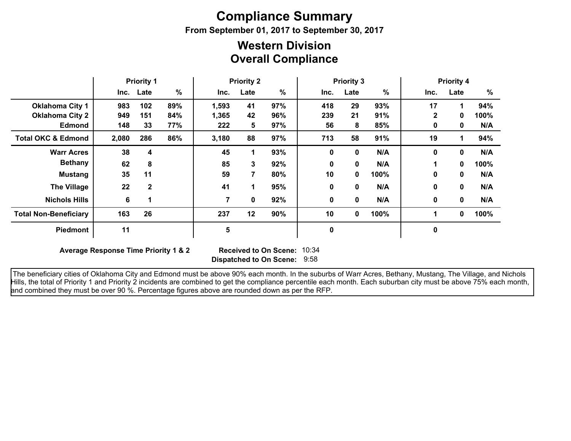# **Compliance Summary**

**From September 01, 2017 to September 30, 2017**

## **Overall Compliance Western Division**

|                               | <b>Priority 1</b> |              | <b>Priority 2</b> |       |      | <b>Priority 3</b> |      |             |               | <b>Priority 4</b> |             |      |
|-------------------------------|-------------------|--------------|-------------------|-------|------|-------------------|------|-------------|---------------|-------------------|-------------|------|
|                               |                   | Inc. Late    | $\frac{9}{6}$     | Inc.  | Late | %                 | Inc. | Late        | $\frac{9}{6}$ | Inc.              | Late        | %    |
| <b>Oklahoma City 1</b>        | 983               | 102          | 89%               | 1,593 | 41   | 97%               | 418  | 29          | 93%           | 17                | 1           | 94%  |
| <b>Oklahoma City 2</b>        | 949               | 151          | 84%               | 1,365 | 42   | 96%               | 239  | 21          | 91%           | $\mathbf{2}$      | 0           | 100% |
| <b>Edmond</b>                 | 148               | 33           | 77%               | 222   | 5    | 97%               | 56   | 8           | 85%           | 0                 | 0           | N/A  |
| <b>Total OKC &amp; Edmond</b> | 2,080             | 286          | 86%               | 3,180 | 88   | 97%               | 713  | 58          | 91%           | 19                | 1           | 94%  |
| <b>Warr Acres</b>             | 38                | 4            |                   | 45    | 1    | 93%               | 0    | $\mathbf 0$ | N/A           | $\mathbf{0}$      | 0           | N/A  |
| <b>Bethany</b>                | 62                | 8            |                   | 85    | 3    | 92%               | 0    | $\bf{0}$    | N/A           | 1                 | 0           | 100% |
| <b>Mustang</b>                | 35                | 11           |                   | 59    | 7    | 80%               | 10   | 0           | 100%          | 0                 | 0           | N/A  |
| <b>The Village</b>            | 22                | $\mathbf{2}$ |                   | 41    | 1    | 95%               | 0    | $\mathbf 0$ | N/A           | $\mathbf 0$       | 0           | N/A  |
| <b>Nichols Hills</b>          | 6                 |              |                   |       | 0    | 92%               | 0    | 0           | N/A           | 0                 | $\mathbf 0$ | N/A  |
| <b>Total Non-Beneficiary</b>  | 163               | 26           |                   | 237   | 12   | 90%               | 10   | 0           | 100%          |                   | 0           | 100% |
| <b>Piedmont</b>               | 11                |              |                   | 5     |      |                   | 0    |             |               | 0                 |             |      |

**Average Response Time Priority 1 & 2** 

**Dispatched to On Scene:** 9:58 Received to On Scene: 10:34

 The beneficiary cities of Oklahoma City and Edmond must be above 90% each month. In the suburbs of Warr Acres, Bethany, Mustang, The Village, and Nichols Hills, the total of Priority 1 and Priority 2 incidents are combined to get the compliance percentile each month. Each suburban city must be above 75% each month, and combined they must be over 90 %. Percentage figures above are rounded down as per the RFP.